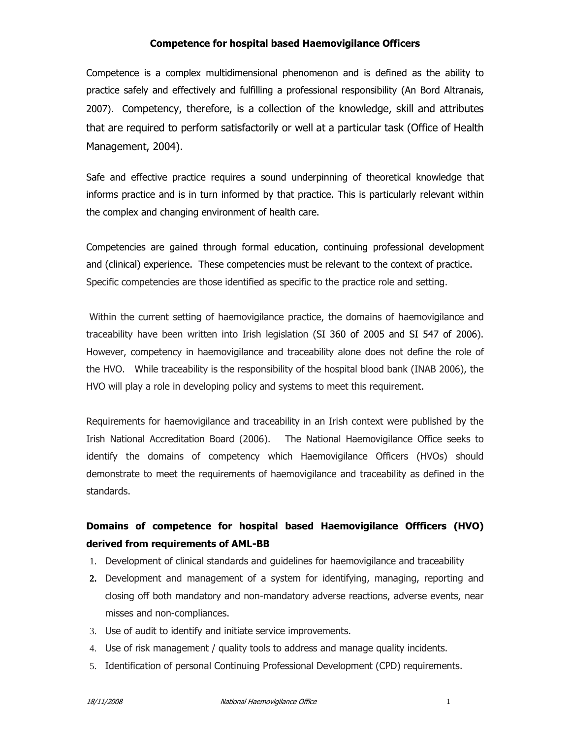#### Competence for hospital based Haemovigilance Officers

Competence is a complex multidimensional phenomenon and is defined as the ability to practice safely and effectively and fulfilling a professional responsibility (An Bord Altranais, 2007). Competency, therefore, is a collection of the knowledge, skill and attributes that are required to perform satisfactorily or well at a particular task (Office of Health Management, 2004).

Safe and effective practice requires a sound underpinning of theoretical knowledge that informs practice and is in turn informed by that practice. This is particularly relevant within the complex and changing environment of health care.

Competencies are gained through formal education, continuing professional development and (clinical) experience. These competencies must be relevant to the context of practice. Specific competencies are those identified as specific to the practice role and setting.

 Within the current setting of haemovigilance practice, the domains of haemovigilance and traceability have been written into Irish legislation (SI 360 of 2005 and SI 547 of 2006). However, competency in haemovigilance and traceability alone does not define the role of the HVO. While traceability is the responsibility of the hospital blood bank (INAB 2006), the HVO will play a role in developing policy and systems to meet this requirement.

Requirements for haemovigilance and traceability in an Irish context were published by the Irish National Accreditation Board (2006). The National Haemovigilance Office seeks to identify the domains of competency which Haemovigilance Officers (HVOs) should demonstrate to meet the requirements of haemovigilance and traceability as defined in the standards.

# Domains of competence for hospital based Haemovigilance Offficers (HVO) derived from requirements of AML-BB

- 1. Development of clinical standards and guidelines for haemovigilance and traceability
- **2.** Development and management of a system for identifying, managing, reporting and closing off both mandatory and non-mandatory adverse reactions, adverse events, near misses and non-compliances.
- 3. Use of audit to identify and initiate service improvements.
- 4. Use of risk management / quality tools to address and manage quality incidents.
- 5. Identification of personal Continuing Professional Development (CPD) requirements.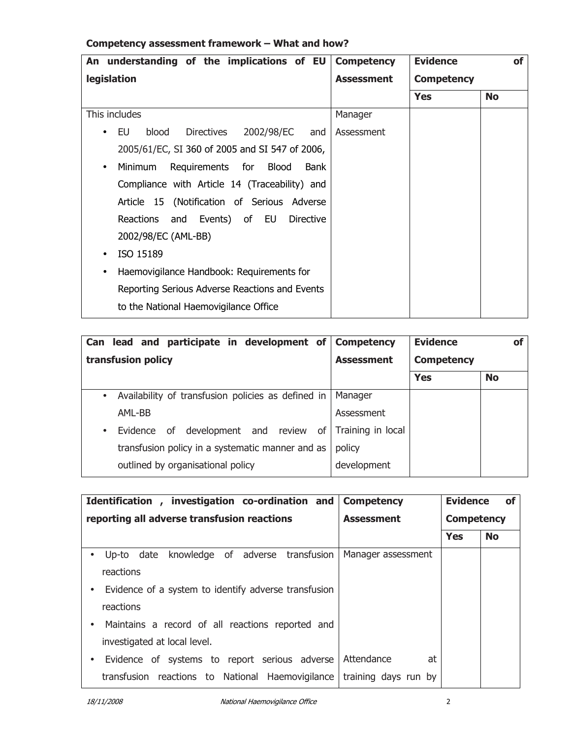| An understanding of the implications of EU                    | <b>Competency</b> | <b>Evidence</b>   | <b>of</b> |
|---------------------------------------------------------------|-------------------|-------------------|-----------|
| <b>legislation</b>                                            | <b>Assessment</b> | <b>Competency</b> |           |
|                                                               |                   | <b>Yes</b>        | <b>No</b> |
| This includes                                                 | Manager           |                   |           |
| 2002/98/EC<br>blood<br>Directives<br>EU<br>and                | Assessment        |                   |           |
| 2005/61/EC, SI 360 of 2005 and SI 547 of 2006,                |                   |                   |           |
| Requirements for Blood<br>Minimum<br><b>Bank</b><br>$\bullet$ |                   |                   |           |
| Compliance with Article 14 (Traceability) and                 |                   |                   |           |
| Article 15 (Notification of Serious Adverse                   |                   |                   |           |
| Reactions and Events) of EU<br><b>Directive</b>               |                   |                   |           |
| 2002/98/EC (AML-BB)                                           |                   |                   |           |
| ISO 15189                                                     |                   |                   |           |
| Haemovigilance Handbook: Requirements for<br>$\bullet$        |                   |                   |           |
| Reporting Serious Adverse Reactions and Events                |                   |                   |           |
| to the National Haemovigilance Office                         |                   |                   |           |

## Competency assessment framework – What and how?

| lead and participate in development of<br>Can                             | <b>Competency</b> | <b>Evidence</b>   | <b>of</b> |
|---------------------------------------------------------------------------|-------------------|-------------------|-----------|
| transfusion policy                                                        | <b>Assessment</b> | <b>Competency</b> |           |
|                                                                           |                   | <b>Yes</b>        | <b>No</b> |
| Availability of transfusion policies as defined in<br>$\bullet$           | Manager           |                   |           |
| AML-BB                                                                    | Assessment        |                   |           |
| development and review<br>of l<br>Evidence<br>o <sub>f</sub><br>$\bullet$ | Training in local |                   |           |
| transfusion policy in a systematic manner and as                          | policy            |                   |           |
| outlined by organisational policy                                         | development       |                   |           |

| Identification, investigation co-ordination and                                                                                                                                                                                                             | <b>Competency</b>  | <b>Evidence</b><br>οf |           |
|-------------------------------------------------------------------------------------------------------------------------------------------------------------------------------------------------------------------------------------------------------------|--------------------|-----------------------|-----------|
| reporting all adverse transfusion reactions                                                                                                                                                                                                                 | <b>Assessment</b>  | <b>Competency</b>     |           |
|                                                                                                                                                                                                                                                             |                    | <b>Yes</b>            | <b>No</b> |
| knowledge of adverse transfusion<br>Up-to date<br>$\bullet$<br>reactions<br>Evidence of a system to identify adverse transfusion<br>$\bullet$<br>reactions<br>Maintains a record of all reactions reported and<br>$\bullet$<br>investigated at local level. | Manager assessment |                       |           |
| Evidence of systems to report serious adverse<br>$\bullet$<br>transfusion reactions to National Haemovigilance   training days run by                                                                                                                       | Attendance<br>at   |                       |           |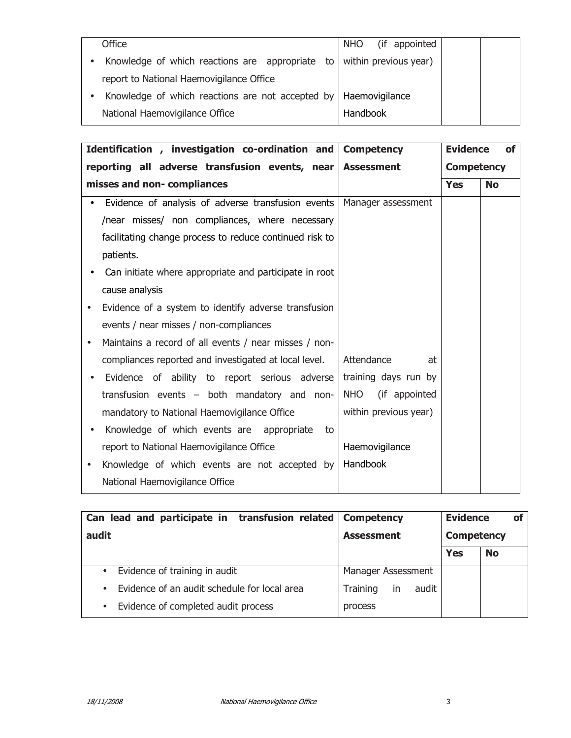| Office                                           | NHO.     | (if appointed         |  |  |
|--------------------------------------------------|----------|-----------------------|--|--|
| Knowledge of which reactions are appropriate to  |          | within previous year) |  |  |
| report to National Haemovigilance Office         |          |                       |  |  |
| Knowledge of which reactions are not accepted by |          | Haemovigilance        |  |  |
| National Haemovigilance Office                   | Handbook |                       |  |  |

| Identification, investigation co-ordination and                    | <b>Competency</b>           | <b>Evidence</b>   | <b>of</b> |  |
|--------------------------------------------------------------------|-----------------------------|-------------------|-----------|--|
| reporting all adverse transfusion events, near                     | <b>Assessment</b>           | <b>Competency</b> |           |  |
| misses and non-compliances                                         |                             | <b>Yes</b>        | <b>No</b> |  |
| Evidence of analysis of adverse transfusion events                 | Manager assessment          |                   |           |  |
| /near misses/ non compliances, where necessary                     |                             |                   |           |  |
| facilitating change process to reduce continued risk to            |                             |                   |           |  |
| patients.                                                          |                             |                   |           |  |
| Can initiate where appropriate and participate in root             |                             |                   |           |  |
| cause analysis                                                     |                             |                   |           |  |
| Evidence of a system to identify adverse transfusion               |                             |                   |           |  |
| events / near misses / non-compliances                             |                             |                   |           |  |
| Maintains a record of all events / near misses / non-<br>$\bullet$ |                             |                   |           |  |
| compliances reported and investigated at local level.              | Attendance<br>at            |                   |           |  |
| Evidence of ability to report serious adverse                      | training days run by        |                   |           |  |
| transfusion events – both mandatory and non-                       | <b>NHO</b><br>(if appointed |                   |           |  |
| mandatory to National Haemovigilance Office                        | within previous year)       |                   |           |  |
| Knowledge of which events are appropriate<br>to                    |                             |                   |           |  |
| report to National Haemovigilance Office                           | Haemovigilance              |                   |           |  |
| Knowledge of which events are not accepted by                      | Handbook                    |                   |           |  |
| National Haemovigilance Office                                     |                             |                   |           |  |

| Can lead and participate in transfusion related           | <b>Competency</b>              | <b>Evidence</b>   | <b>of</b> |
|-----------------------------------------------------------|--------------------------------|-------------------|-----------|
| audit                                                     | <b>Assessment</b>              | <b>Competency</b> |           |
|                                                           |                                | <b>Yes</b>        | <b>No</b> |
| Evidence of training in audit<br>$\bullet$                | Manager Assessment             |                   |           |
| Evidence of an audit schedule for local area<br>$\bullet$ | in<br>audit<br><b>Training</b> |                   |           |
| Evidence of completed audit process<br>$\bullet$          | process                        |                   |           |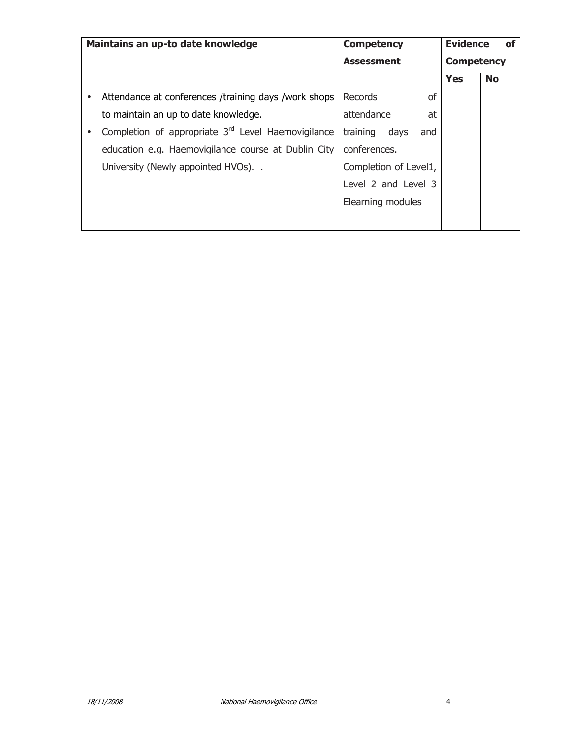|           | Maintains an up-to date knowledge                              | <b>Competency</b>       | <b>Evidence</b>   | οf        |
|-----------|----------------------------------------------------------------|-------------------------|-------------------|-----------|
|           |                                                                | <b>Assessment</b>       | <b>Competency</b> |           |
|           |                                                                |                         | <b>Yes</b>        | <b>No</b> |
| $\bullet$ | Attendance at conferences /training days /work shops           | of<br>Records           |                   |           |
|           | to maintain an up to date knowledge.                           | attendance<br>at        |                   |           |
|           | Completion of appropriate 3 <sup>rd</sup> Level Haemovigilance | training<br>days<br>and |                   |           |
|           | education e.g. Haemovigilance course at Dublin City            | conferences.            |                   |           |
|           | University (Newly appointed HVOs)                              | Completion of Level1,   |                   |           |
|           |                                                                | Level 2 and Level 3     |                   |           |
|           |                                                                | Elearning modules       |                   |           |
|           |                                                                |                         |                   |           |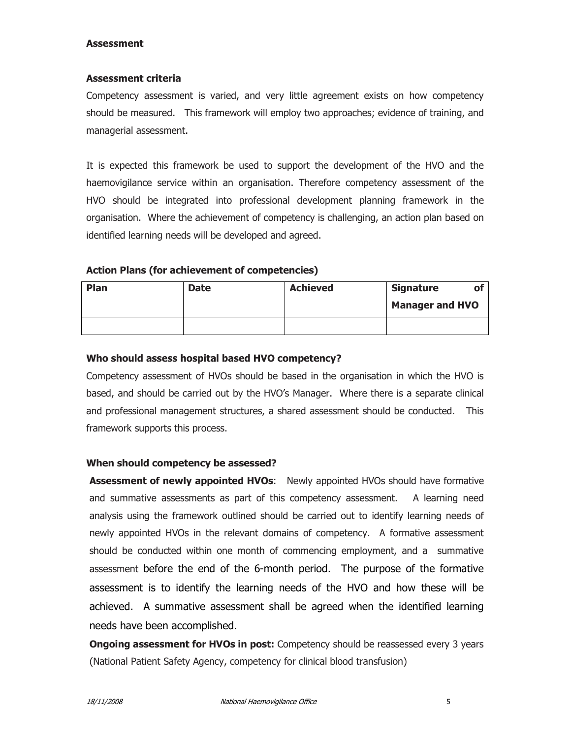#### Assessment

#### Assessment criteria

Competency assessment is varied, and very little agreement exists on how competency should be measured. This framework will employ two approaches; evidence of training, and managerial assessment.

It is expected this framework be used to support the development of the HVO and the haemovigilance service within an organisation. Therefore competency assessment of the HVO should be integrated into professional development planning framework in the organisation. Where the achievement of competency is challenging, an action plan based on identified learning needs will be developed and agreed.

#### Action Plans (for achievement of competencies)

| Plan | <b>Date</b> | <b>Achieved</b> | <b>Signature</b>       | О1 |
|------|-------------|-----------------|------------------------|----|
|      |             |                 | <b>Manager and HVO</b> |    |
|      |             |                 |                        |    |

#### Who should assess hospital based HVO competency?

Competency assessment of HVOs should be based in the organisation in which the HVO is based, and should be carried out by the HVO's Manager. Where there is a separate clinical and professional management structures, a shared assessment should be conducted. This framework supports this process.

#### When should competency be assessed?

**Assessment of newly appointed HVOs:** Newly appointed HVOs should have formative and summative assessments as part of this competency assessment. A learning need analysis using the framework outlined should be carried out to identify learning needs of newly appointed HVOs in the relevant domains of competency. A formative assessment should be conducted within one month of commencing employment, and a summative assessment before the end of the 6-month period. The purpose of the formative assessment is to identify the learning needs of the HVO and how these will be achieved. A summative assessment shall be agreed when the identified learning needs have been accomplished.

**Ongoing assessment for HVOs in post:** Competency should be reassessed every 3 years (National Patient Safety Agency, competency for clinical blood transfusion)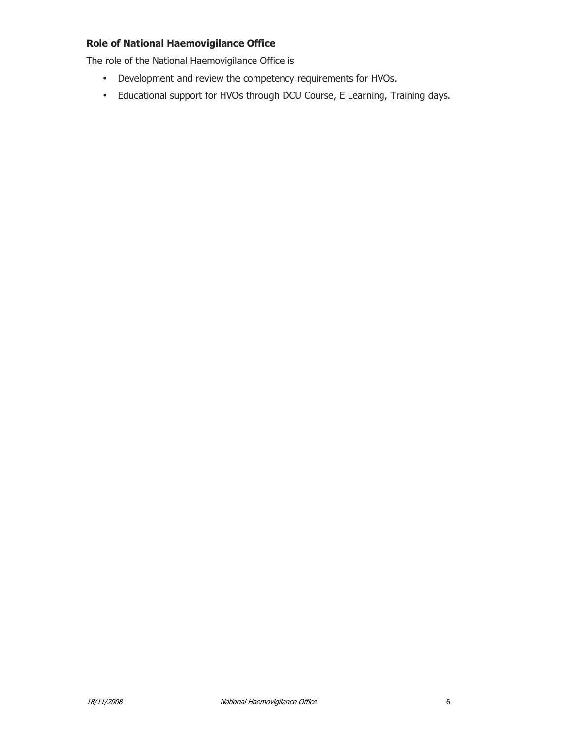### Role of National Haemovigilance Office

The role of the National Haemovigilance Office is

- Development and review the competency requirements for HVOs.
- Educational support for HVOs through DCU Course, E Learning, Training days.